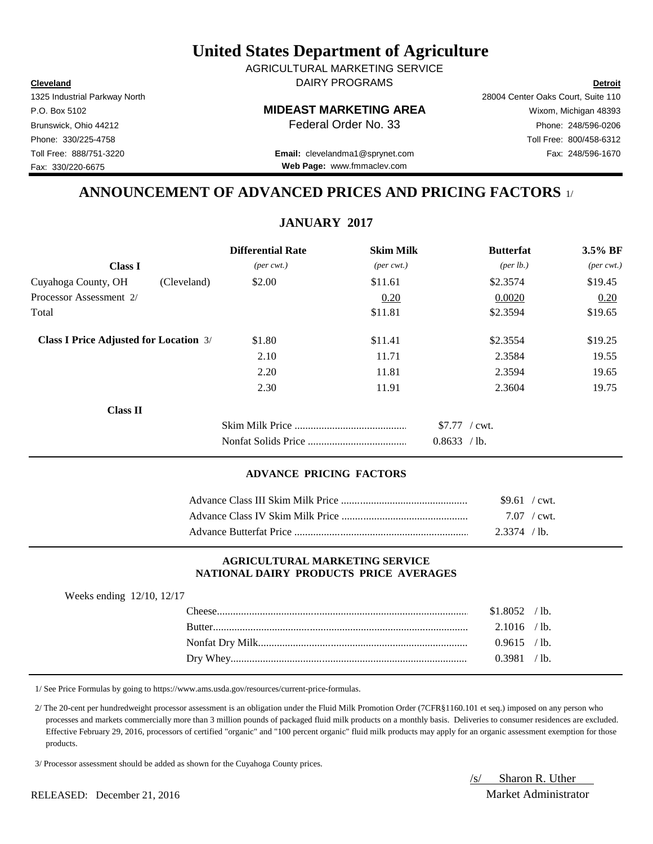**Cleveland Detroit** DAIRY PROGRAMS AGRICULTURAL MARKETING SERVICE

P.O. Box 5102 **MIDEAST MARKETING AREA** Wixom, Michigan 48393

Brunswick, Ohio 44212 **Phone: 248/596-0206 Federal Order No. 33** Phone: 248/596-0206

Toll Free: 888/751-3220 Fax: 248/596-1670 **Email:** clevelandma1@sprynet.com **Web Page:** www.fmmaclev.com

## **ANNOUNCEMENT OF ADVANCED PRICES AND PRICING FACTORS** 1/

## **JANUARY 2017**

|                                               |             | <b>Differential Rate</b>    | <b>Skim Milk</b>            | <b>Butterfat</b>               | 3.5% BF                     |
|-----------------------------------------------|-------------|-----------------------------|-----------------------------|--------------------------------|-----------------------------|
| <b>Class I</b>                                |             | $(\text{per} \text{ cwt.})$ | $(\text{per} \text{ cwt.})$ | $(\text{per lb.})$             | $(\text{per} \text{ cwt.})$ |
| Cuyahoga County, OH                           | (Cleveland) | \$2.00                      | \$11.61                     | \$2.3574                       | \$19.45                     |
| Processor Assessment 2/                       |             |                             | 0.20                        | 0.0020                         | 0.20                        |
| Total                                         |             |                             | \$11.81                     | \$2.3594                       | \$19.65                     |
| <b>Class I Price Adjusted for Location 3/</b> |             | \$1.80                      | \$11.41                     | \$2.3554                       | \$19.25                     |
|                                               |             | 2.10                        | 11.71                       | 2.3584                         | 19.55                       |
|                                               |             | 2.20                        | 11.81                       | 2.3594                         | 19.65                       |
|                                               |             | 2.30                        | 11.91                       | 2.3604                         | 19.75                       |
| Class II                                      |             |                             |                             |                                |                             |
|                                               |             |                             |                             | $$7.77$ / cwt.<br>0.8633 / lb. |                             |

### **ADVANCE PRICING FACTORS**

| $$9.61$ / cwt. |  |
|----------------|--|
| $7.07$ / cwt.  |  |
| $2.3374$ /lb.  |  |

#### **AGRICULTURAL MARKETING SERVICE NATIONAL DAIRY PRODUCTS PRICE AVERAGES**

| Weeks ending 12/10, 12/17 |  |                |  |
|---------------------------|--|----------------|--|
|                           |  | $$1.8052$ /lb. |  |
|                           |  | $2.1016$ /lb.  |  |
|                           |  | $0.9615$ /lb.  |  |
|                           |  | 0.3981 / lb.   |  |

1/ See Price Formulas by going to https://www.ams.usda.gov/resources/current-price-formulas.

 2/ The 20-cent per hundredweight processor assessment is an obligation under the Fluid Milk Promotion Order (7CFR§1160.101 et seq.) imposed on any person who processes and markets commercially more than 3 million pounds of packaged fluid milk products on a monthly basis. Deliveries to consumer residences are excluded. Effective February 29, 2016, processors of certified "organic" and "100 percent organic" fluid milk products may apply for an organic assessment exemption for those products.

3/ Processor assessment should be added as shown for the Cuyahoga County prices.

/s/ Sharon R. Uther

1325 Industrial Parkway North 28004 Center Oaks Court, Suite 110

Phone: 330/225-4758 Toll Free: 800/458-6312 Fax: 330/220-6675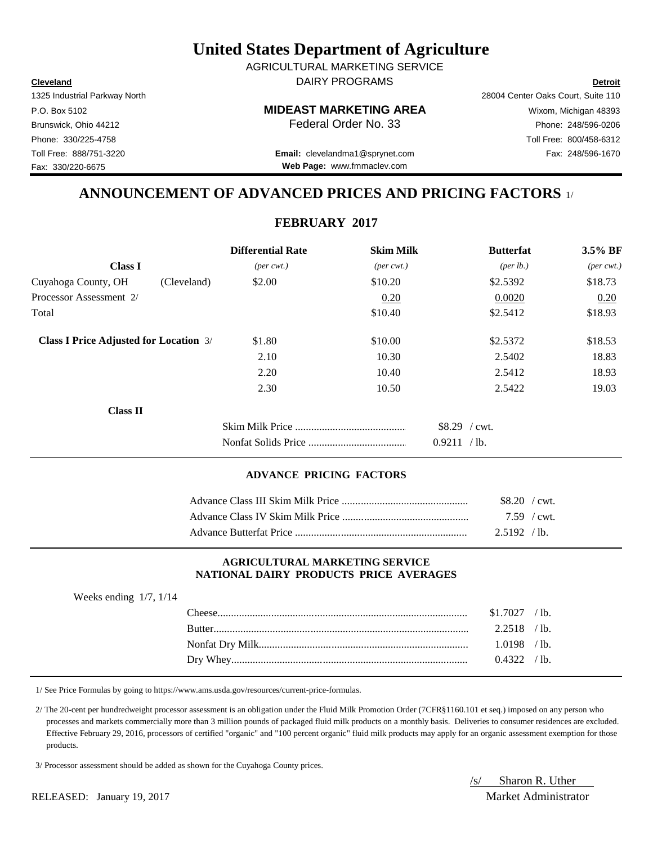**Cleveland Detroit** DAIRY PROGRAMS AGRICULTURAL MARKETING SERVICE

1325 Industrial Parkway North 28004 Center Oaks Court, Suite 110 Phone: 330/225-4758 Toll Free: 800/458-6312 Fax: 330/220-6675

## P.O. Box 5102 **MIDEAST MARKETING AREA** Wixom, Michigan 48393

Brunswick, Ohio 44212 **Phone: 248/596-0206 Federal Order No. 33** Phone: 248/596-0206

Toll Free: 888/751-3220 Fax: 248/596-1670 **Email:** clevelandma1@sprynet.com **Web Page:** www.fmmaclev.com

## **ANNOUNCEMENT OF ADVANCED PRICES AND PRICING FACTORS** 1/

## **FEBRUARY 2017**

|                                               |             | <b>Differential Rate</b>    | <b>Skim Milk</b>            | <b>Butterfat</b>                    | $3.5\%$ BF                  |
|-----------------------------------------------|-------------|-----------------------------|-----------------------------|-------------------------------------|-----------------------------|
| <b>Class I</b>                                |             | $(\text{per} \text{ cwt.})$ | $(\text{per} \text{ cwt.})$ | ${\rm (per \, lb.)}$                | $(\text{per} \text{ cwt.})$ |
| Cuyahoga County, OH                           | (Cleveland) | \$2.00                      | \$10.20                     | \$2.5392                            | \$18.73                     |
| Processor Assessment 2/                       |             |                             | 0.20                        | 0.0020                              | 0.20                        |
| Total                                         |             |                             | \$10.40                     | \$2.5412                            | \$18.93                     |
| <b>Class I Price Adjusted for Location 3/</b> |             | \$1.80                      | \$10.00                     | \$2.5372                            | \$18.53                     |
|                                               |             | 2.10                        | 10.30                       | 2.5402                              | 18.83                       |
|                                               |             | 2.20                        | 10.40                       | 2.5412                              | 18.93                       |
|                                               |             | 2.30                        | 10.50                       | 2.5422                              | 19.03                       |
| <b>Class II</b>                               |             |                             |                             |                                     |                             |
|                                               |             |                             |                             | $$8.29$ / cwt.<br>0.9211<br>$/1b$ . |                             |

#### **ADVANCE PRICING FACTORS**

| $$8.20$ / cwt. |  |
|----------------|--|
| $7.59$ / cwt.  |  |
| 2.5192 / h     |  |

#### **AGRICULTURAL MARKETING SERVICE NATIONAL DAIRY PRODUCTS PRICE AVERAGES**

| Weeks ending $1/7$ , $1/14$ |         |                |  |
|-----------------------------|---------|----------------|--|
|                             |         | $$1.7027$ /lb. |  |
|                             | Butter. | $2.2518$ /lb.  |  |
|                             |         | $1.0198$ /lb.  |  |
|                             |         | 0.4322 / lb.   |  |

1/ See Price Formulas by going to https://www.ams.usda.gov/resources/current-price-formulas.

 2/ The 20-cent per hundredweight processor assessment is an obligation under the Fluid Milk Promotion Order (7CFR§1160.101 et seq.) imposed on any person who processes and markets commercially more than 3 million pounds of packaged fluid milk products on a monthly basis. Deliveries to consumer residences are excluded. Effective February 29, 2016, processors of certified "organic" and "100 percent organic" fluid milk products may apply for an organic assessment exemption for those products.

3/ Processor assessment should be added as shown for the Cuyahoga County prices.

/s/ Sharon R. Uther

RELEASED: January 19, 2017 Market Administrator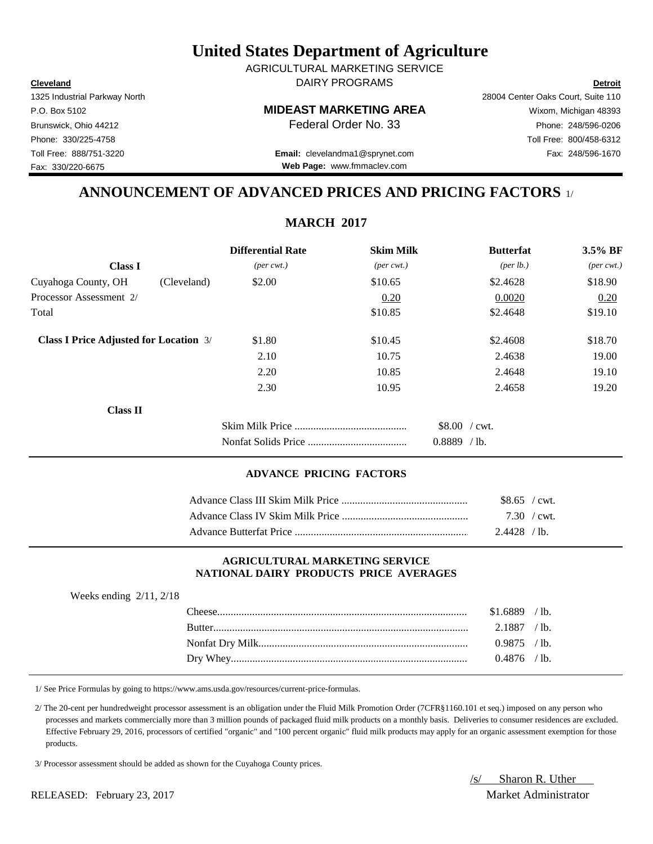**Cleveland Detroit** DAIRY PROGRAMS AGRICULTURAL MARKETING SERVICE

P.O. Box 5102 **MIDEAST MARKETING AREA** Wixom, Michigan 48393

Brunswick, Ohio 44212 **Phone:** 248/596-0206 **Federal Order No. 33** Phone: 248/596-0206

Toll Free: 888/751-3220 Fax: 248/596-1670 **Email:** clevelandma1@sprynet.com **Web Page:** www.fmmaclev.com

# **ANNOUNCEMENT OF ADVANCED PRICES AND PRICING FACTORS** 1/

## **MARCH 2017**

|                                               |             | <b>Differential Rate</b>    | <b>Skim Milk</b>            | <b>Butterfat</b>     | $3.5\%$ BF                  |
|-----------------------------------------------|-------------|-----------------------------|-----------------------------|----------------------|-----------------------------|
| <b>Class I</b>                                |             | $(\text{per} \text{ cwt.})$ | $(\text{per} \text{ cwt.})$ | ${\rm (per \, lb.)}$ | $(\text{per} \text{ cwt.})$ |
| Cuyahoga County, OH                           | (Cleveland) | \$2.00                      | \$10.65                     | \$2.4628             | \$18.90                     |
| Processor Assessment 2/                       |             |                             | 0.20                        | 0.0020               | 0.20                        |
| Total                                         |             |                             | \$10.85                     | \$2.4648             | \$19.10                     |
| <b>Class I Price Adjusted for Location 3/</b> |             | \$1.80                      | \$10.45                     | \$2.4608             | \$18.70                     |
|                                               |             | 2.10                        | 10.75                       | 2.4638               | 19.00                       |
|                                               |             | 2.20                        | 10.85                       | 2.4648               | 19.10                       |
|                                               |             | 2.30                        | 10.95                       | 2.4658               | 19.20                       |
| <b>Class II</b>                               |             |                             |                             |                      |                             |
|                                               |             |                             |                             | \$8.00 / cwt.        |                             |
|                                               |             |                             |                             | $0.8889$ /lb.        |                             |

### **ADVANCE PRICING FACTORS**

| $$8.65$ / cwt.              |  |
|-----------------------------|--|
| $7.30 \, / \, \text{cwt}$ . |  |
| $2.4428$ / lb.              |  |

#### **AGRICULTURAL MARKETING SERVICE NATIONAL DAIRY PRODUCTS PRICE AVERAGES**

| Weeks ending $2/11$ , $2/18$ |                |  |
|------------------------------|----------------|--|
|                              | $$1.6889$ /lb. |  |
|                              | $2.1887$ /lb.  |  |
|                              | $0.9875$ /lb.  |  |
|                              | $0.4876$ /lb.  |  |

1/ See Price Formulas by going to https://www.ams.usda.gov/resources/current-price-formulas.

 2/ The 20-cent per hundredweight processor assessment is an obligation under the Fluid Milk Promotion Order (7CFR§1160.101 et seq.) imposed on any person who processes and markets commercially more than 3 million pounds of packaged fluid milk products on a monthly basis. Deliveries to consumer residences are excluded. Effective February 29, 2016, processors of certified "organic" and "100 percent organic" fluid milk products may apply for an organic assessment exemption for those products.

3/ Processor assessment should be added as shown for the Cuyahoga County prices.

/s/ Sharon R. Uther

1325 Industrial Parkway North 28004 Center Oaks Court, Suite 110

Phone: 330/225-4758 Toll Free: 800/458-6312 Fax: 330/220-6675

### RELEASED: February 23, 2017 Market Administrator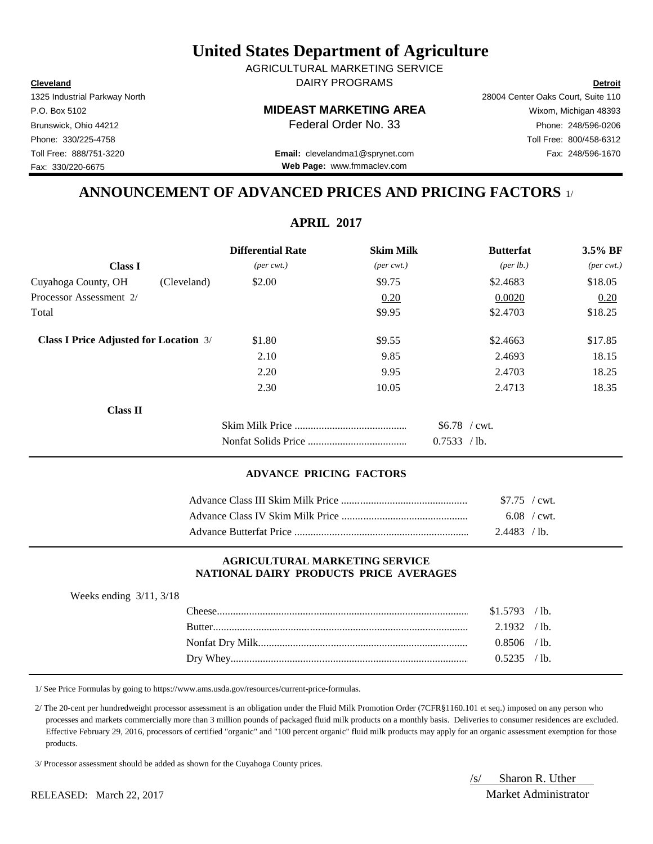**Cleveland Detroit** DAIRY PROGRAMS AGRICULTURAL MARKETING SERVICE

P.O. Box 5102 **MIDEAST MARKETING AREA** Wixom, Michigan 48393

Toll Free: 888/751-3220 Fax: 248/596-1670 **Email:** clevelandma1@sprynet.com **Web Page:** www.fmmaclev.com

# **ANNOUNCEMENT OF ADVANCED PRICES AND PRICING FACTORS** 1/

**APRIL 2017**

|                                               | <b>Differential Rate</b>    | <b>Skim Milk</b>            | <b>Butterfat</b>               | 3.5% BF                     |
|-----------------------------------------------|-----------------------------|-----------------------------|--------------------------------|-----------------------------|
| <b>Class I</b>                                | $(\text{per} \text{ cwt.})$ | $(\text{per} \text{ cwt.})$ | $(\text{per lb.})$             | $(\text{per} \text{ cwt.})$ |
| Cuyahoga County, OH<br>(Cleveland)            | \$2.00                      | \$9.75                      | \$2.4683                       | \$18.05                     |
| Processor Assessment 2/                       |                             | 0.20                        | 0.0020                         | 0.20                        |
| Total                                         |                             | \$9.95                      | \$2.4703                       | \$18.25                     |
| <b>Class I Price Adjusted for Location 3/</b> | \$1.80                      | \$9.55                      | \$2.4663                       | \$17.85                     |
|                                               | 2.10                        | 9.85                        | 2.4693                         | 18.15                       |
|                                               | 2.20                        | 9.95                        | 2.4703                         | 18.25                       |
|                                               | 2.30                        | 10.05                       | 2.4713                         | 18.35                       |
| <b>Class II</b>                               |                             |                             |                                |                             |
|                                               |                             |                             | $$6.78$ / cwt.<br>0.7533 / lb. |                             |

### **ADVANCE PRICING FACTORS**

| $$7.75$ / cwt. |  |
|----------------|--|
| $6.08$ / cwt.  |  |
| $2.4483$ / lb. |  |

#### **AGRICULTURAL MARKETING SERVICE NATIONAL DAIRY PRODUCTS PRICE AVERAGES**

| Weeks ending $3/11$ , $3/18$ |  |                |  |
|------------------------------|--|----------------|--|
|                              |  | $$1.5793$ /lb. |  |
|                              |  | $2.1932$ /lb.  |  |
|                              |  | $0.8506$ /lb.  |  |
|                              |  | $0.5235$ /lb.  |  |

1/ See Price Formulas by going to https://www.ams.usda.gov/resources/current-price-formulas.

 2/ The 20-cent per hundredweight processor assessment is an obligation under the Fluid Milk Promotion Order (7CFR§1160.101 et seq.) imposed on any person who processes and markets commercially more than 3 million pounds of packaged fluid milk products on a monthly basis. Deliveries to consumer residences are excluded. Effective February 29, 2016, processors of certified "organic" and "100 percent organic" fluid milk products may apply for an organic assessment exemption for those products.

3/ Processor assessment should be added as shown for the Cuyahoga County prices.

/s/ Sharon R. Uther

1325 Industrial Parkway North 28004 Center Oaks Court, Suite 110

Fax: 330/220-6675

### RELEASED: March 22, 2017 Market Administrator Market Administrator

Brunswick, Ohio 44212 **Phone: 248/596-0206 Federal Order No. 33** Phone: 248/596-0206 Phone: 330/225-4758 Toll Free: 800/458-6312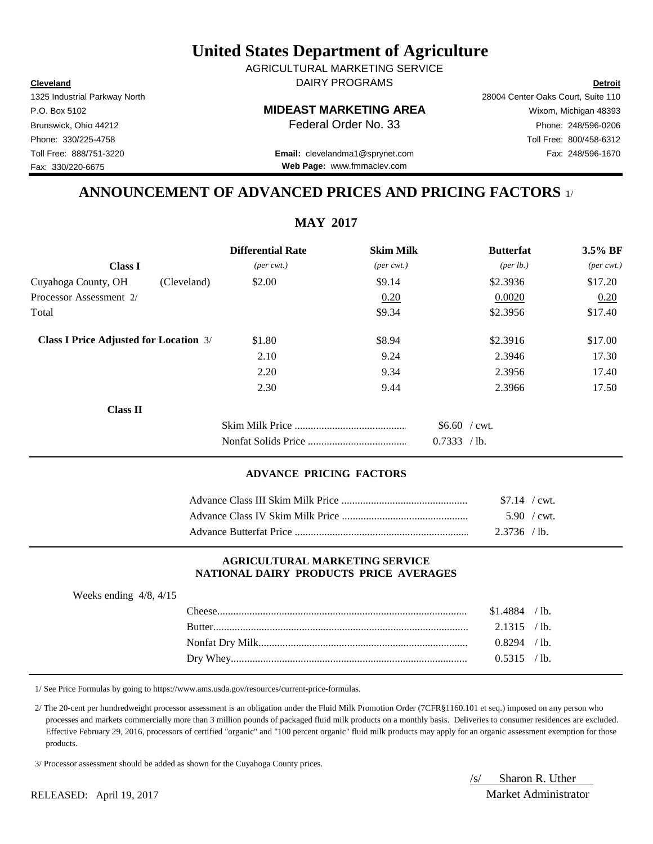**Cleveland Detroit** AGRICULTURAL MARKETING SERVICE DAIRY PROGRAMS

1325 Industrial Parkway North 28004 Center Oaks Court, Suite 110

P.O. Box 5102 **MIDEAST MARKETING AREA** Wixom, Michigan 48393

**Web Page:** www.fmmaclev.com

## Brunswick, Ohio 44212 **Phone:** 248/596-0206 **Federal Order No. 33** Phone: 248/596-0206 Phone: 330/225-4758 Toll Free: 800/458-6312 Toll Free: 888/751-3220 Fax: 248/596-1670 **Email:** clevelandma1@sprynet.com

## **ANNOUNCEMENT OF ADVANCED PRICES AND PRICING FACTORS** 1/

**MAY 2017**

|                                               | <b>Differential Rate</b>    | <b>Skim Milk</b>            | <b>Butterfat</b>     | $3.5\%$ BF                  |
|-----------------------------------------------|-----------------------------|-----------------------------|----------------------|-----------------------------|
| <b>Class I</b>                                | $(\text{per} \text{ cwt.})$ | $(\text{per} \text{ cwt.})$ | ${\rm (per \, lb.)}$ | $(\text{per} \text{ cwt.})$ |
| Cuyahoga County, OH<br>(Cleveland)            | \$2.00                      | \$9.14                      | \$2.3936             | \$17.20                     |
| Processor Assessment 2/                       |                             | 0.20                        | 0.0020               | 0.20                        |
| Total                                         |                             | \$9.34                      | \$2.3956             | \$17.40                     |
| <b>Class I Price Adjusted for Location 3/</b> | \$1.80                      | \$8.94                      | \$2.3916             | \$17.00                     |
|                                               | 2.10                        | 9.24                        | 2.3946               | 17.30                       |
|                                               | 2.20                        | 9.34                        | 2.3956               | 17.40                       |
|                                               | 2.30                        | 9.44                        | 2.3966               | 17.50                       |
| <b>Class II</b>                               |                             |                             |                      |                             |
|                                               |                             |                             | $$6.60$ / cwt.       |                             |
|                                               |                             |                             | 0.7333 / lb.         |                             |

#### **ADVANCE PRICING FACTORS**

| $$7.14$ / cwt. |                     |
|----------------|---------------------|
|                | $5.90 / \text{cwt}$ |
| $2.3736$ / lb. |                     |

### **AGRICULTURAL MARKETING SERVICE NATIONAL DAIRY PRODUCTS PRICE AVERAGES**

| Weeks ending $4/8$ , $4/15$ |                |  |
|-----------------------------|----------------|--|
|                             | $$1.4884$ /lb. |  |
|                             | $2.1315$ /lb.  |  |
|                             | $0.8294$ /lb.  |  |
|                             | 0.5315 / lb.   |  |

1/ See Price Formulas by going to https://www.ams.usda.gov/resources/current-price-formulas.

 2/ The 20-cent per hundredweight processor assessment is an obligation under the Fluid Milk Promotion Order (7CFR§1160.101 et seq.) imposed on any person who processes and markets commercially more than 3 million pounds of packaged fluid milk products on a monthly basis. Deliveries to consumer residences are excluded. Effective February 29, 2016, processors of certified "organic" and "100 percent organic" fluid milk products may apply for an organic assessment exemption for those products.

3/ Processor assessment should be added as shown for the Cuyahoga County prices.

/s/ Sharon R. Uther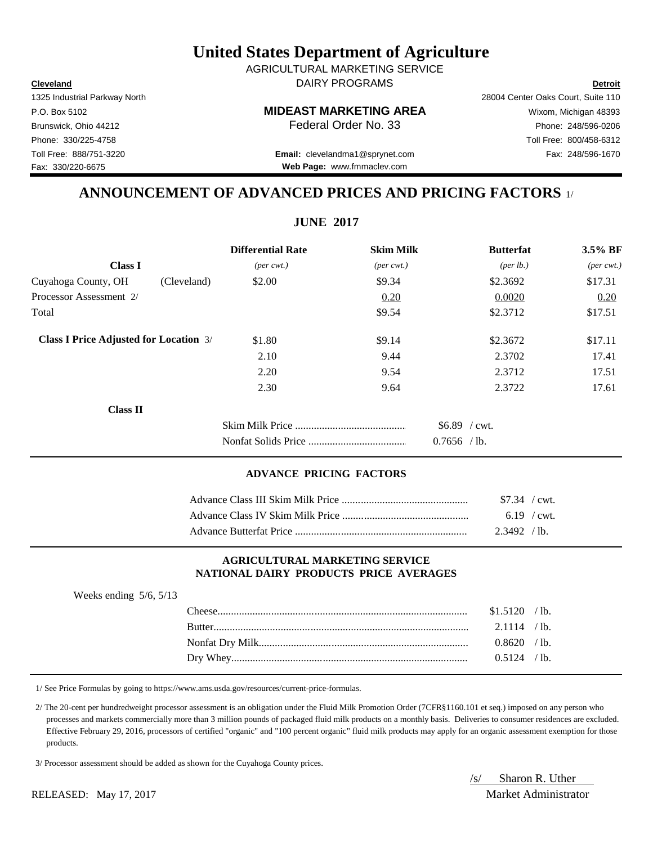/s/ Sharon R. Uther RELEASED: May 17, 2017 Market Administrator

# **United States Department of Agriculture**

**Cleveland Detroit** DAIRY PROGRAMS AGRICULTURAL MARKETING SERVICE

1325 Industrial Parkway North 28004 Center Oaks Court, Suite 110 Phone: 330/225-4758 Toll Free: 800/458-6312 Toll Free: 888/751-3220 Fax: 248/596-1670 **Email:** clevelandma1@sprynet.com

P.O. Box 5102 **MIDEAST MARKETING AREA** Wixom, Michigan 48393 Brunswick, Ohio 44212 **Phone: 248/596-0206 Federal Order No. 33** Phone: 248/596-0206

# **ANNOUNCEMENT OF ADVANCED PRICES AND PRICING FACTORS** 1/

|                                               | <b>Differential Rate</b>    | <b>Skim Milk</b>            | <b>Butterfat</b>   | 3.5% BF                     |
|-----------------------------------------------|-----------------------------|-----------------------------|--------------------|-----------------------------|
| <b>Class I</b>                                | $(\text{per} \text{ cwt.})$ | $(\text{per} \text{ cwt.})$ | $(\text{per lb.})$ | $(\text{per} \text{ cwt.})$ |
| Cuyahoga County, OH<br>(Cleveland)            | \$2.00                      | \$9.34                      | \$2.3692           | \$17.31                     |
| Processor Assessment 2/                       |                             | 0.20                        | 0.0020             | 0.20                        |
| Total                                         |                             | \$9.54                      | \$2.3712           | \$17.51                     |
| <b>Class I Price Adjusted for Location 3/</b> | \$1.80                      | \$9.14                      | \$2.3672           | \$17.11                     |
|                                               | 2.10                        | 9.44                        | 2.3702             | 17.41                       |
|                                               | 2.20                        | 9.54                        | 2.3712             | 17.51                       |
|                                               | 2.30                        | 9.64                        | 2.3722             | 17.61                       |
| Class II                                      |                             |                             |                    |                             |
|                                               |                             |                             | $$6.89$ / cwt.     |                             |
|                                               |                             |                             | $0.7656$ /lb.      |                             |

## **ADVANCE PRICING FACTORS**

| $$7.34$ / cwt. |               |
|----------------|---------------|
|                | $6.19$ / cwt. |
| 2.3492 / h.    |               |

### **AGRICULTURAL MARKETING SERVICE NATIONAL DAIRY PRODUCTS PRICE AVERAGES**

| Weeks ending $5/6$ , $5/13$ |                |  |
|-----------------------------|----------------|--|
|                             | $$1.5120$ /lb. |  |
|                             | $2.1114$ / lb. |  |
|                             | 0.8620 / lb.   |  |
|                             | $0.5124$ /lb.  |  |
|                             |                |  |

1/ See Price Formulas by going to https://www.ams.usda.gov/resources/current-price-formulas.

 2/ The 20-cent per hundredweight processor assessment is an obligation under the Fluid Milk Promotion Order (7CFR§1160.101 et seq.) imposed on any person who processes and markets commercially more than 3 million pounds of packaged fluid milk products on a monthly basis. Deliveries to consumer residences are excluded. Effective February 29, 2016, processors of certified "organic" and "100 percent organic" fluid milk products may apply for an organic assessment exemption for those products.

3/ Processor assessment should be added as shown for the Cuyahoga County prices.

Fax: 330/220-6675

**Web Page:** www.fmmaclev.com

# **JUNE 2017**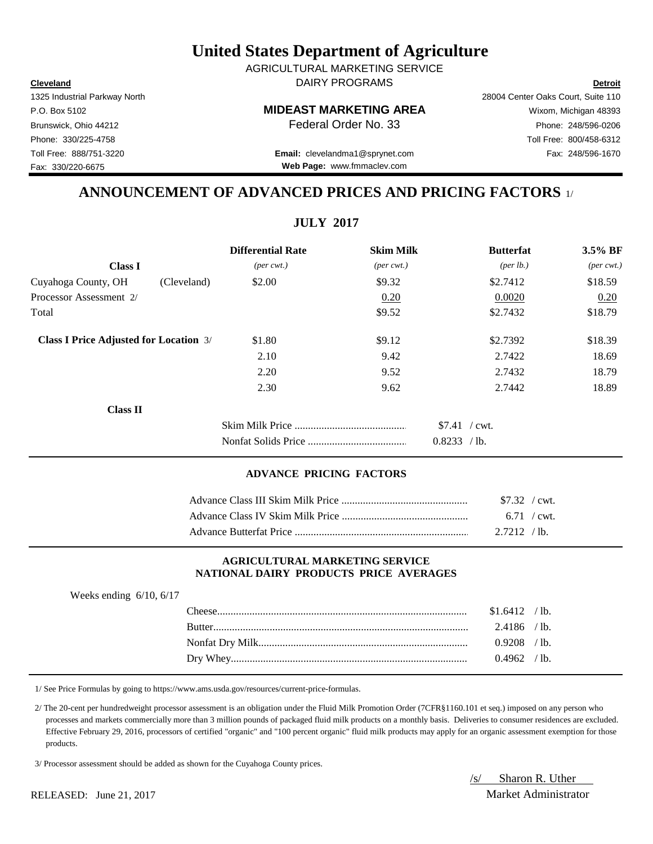**Cleveland Detroit** AGRICULTURAL MARKETING SERVICE DAIRY PROGRAMS

1325 Industrial Parkway North 28004 Center Oaks Court, Suite 110

**Web Page:** www.fmmaclev.com

Brunswick, Ohio 44212 **Phone:** 248/596-0206 **Federal Order No. 33** Phone: 248/596-0206 Phone: 330/225-4758 Toll Free: 800/458-6312 Toll Free: 888/751-3220 Fax: 248/596-1670 **Email:** clevelandma1@sprynet.com

**ANNOUNCEMENT OF ADVANCED PRICES AND PRICING FACTORS** 1/

**JULY 2017**

|                                               |             | <b>Differential Rate</b>    | <b>Skim Milk</b>            | <b>Butterfat</b> | 3.5% BF                                             |
|-----------------------------------------------|-------------|-----------------------------|-----------------------------|------------------|-----------------------------------------------------|
| <b>Class I</b>                                |             | $(\text{per} \text{ cwt.})$ | $(\text{per} \text{ cwt.})$ |                  | ${\rm (per \, lb.)}$<br>$(\text{per} \text{ cwt.})$ |
| Cuyahoga County, OH                           | (Cleveland) | \$2.00                      | \$9.32                      | \$2.7412         | \$18.59                                             |
| Processor Assessment 2/                       |             |                             | 0.20                        | 0.0020           | 0.20                                                |
| Total                                         |             |                             | \$9.52                      | \$2.7432         | \$18.79                                             |
| <b>Class I Price Adjusted for Location 3/</b> |             | \$1.80                      | \$9.12                      | \$2.7392         | \$18.39                                             |
|                                               |             | 2.10                        | 9.42                        | 2.7422           | 18.69                                               |
|                                               |             | 2.20                        | 9.52                        | 2.7432           | 18.79                                               |
|                                               |             | 2.30                        | 9.62                        | 2.7442           | 18.89                                               |
| <b>Class II</b>                               |             |                             |                             |                  |                                                     |
|                                               |             |                             |                             | $$7.41$ / cwt.   |                                                     |
|                                               |             |                             |                             | 0.8233 / lb.     |                                                     |

#### **ADVANCE PRICING FACTORS**

| $$7.32$ / cwt. |  |
|----------------|--|
| $6.71$ / cwt.  |  |
| $2.7212$ / lb. |  |

#### **AGRICULTURAL MARKETING SERVICE NATIONAL DAIRY PRODUCTS PRICE AVERAGES**

| Weeks ending $6/10$ , $6/17$ |                  |                |  |
|------------------------------|------------------|----------------|--|
|                              | $\text{Cheese}.$ | $$1.6412$ /lb. |  |
|                              |                  | $2.4186$ /lb.  |  |
|                              |                  | $0.9208$ /lb.  |  |
|                              |                  | $0.4962$ /lb.  |  |

1/ See Price Formulas by going to https://www.ams.usda.gov/resources/current-price-formulas.

 2/ The 20-cent per hundredweight processor assessment is an obligation under the Fluid Milk Promotion Order (7CFR§1160.101 et seq.) imposed on any person who processes and markets commercially more than 3 million pounds of packaged fluid milk products on a monthly basis. Deliveries to consumer residences are excluded. Effective February 29, 2016, processors of certified "organic" and "100 percent organic" fluid milk products may apply for an organic assessment exemption for those products.

3/ Processor assessment should be added as shown for the Cuyahoga County prices.

/s/ Sharon R. Uther

Fax: 330/220-6675

P.O. Box 5102 **MIDEAST MARKETING AREA** Wixom, Michigan 48393

RELEASED: June 21, 2017 Market Administrator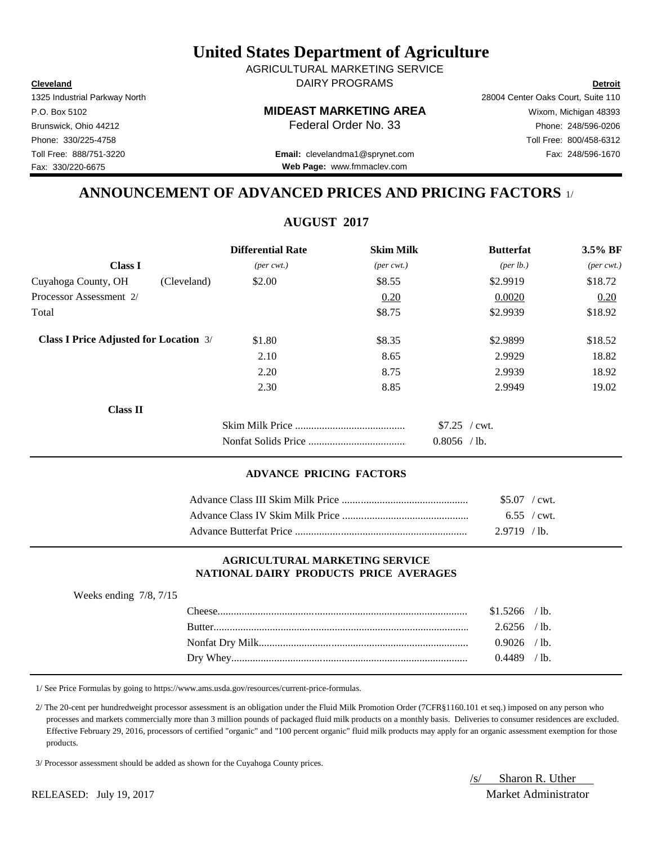/s/ Sharon R. Uther RELEASED: July 19, 2017 Market Administrator

# **United States Department of Agriculture**

**Cleveland Detroit** DAIRY PROGRAMS AGRICULTURAL MARKETING SERVICE

1325 Industrial Parkway North 28004 Center Oaks Court, Suite 110 P.O. Box 5102 **MIDEAST MARKETING AREA** Wixom, Michigan 48393 Brunswick, Ohio 44212 **Phone: 248/596-0206 Federal Order No. 33** Phone: 248/596-0206 Phone: 330/225-4758 Toll Free: 800/458-6312 Toll Free: 888/751-3220 Fax: 248/596-1670 **Email:** clevelandma1@sprynet.com

**Web Page:** www.fmmaclev.com

## **ANNOUNCEMENT OF ADVANCED PRICES AND PRICING FACTORS** 1/

**AUGUST 2017**

|                                               | <b>Differential Rate</b>    | <b>Skim Milk</b>            | <b>Butterfat</b>   | 3.5% BF                     |
|-----------------------------------------------|-----------------------------|-----------------------------|--------------------|-----------------------------|
| <b>Class I</b>                                | $(\text{per} \text{ cwt.})$ | $(\text{per} \text{ cwt.})$ | $(\text{per lb.})$ | $(\text{per} \text{ cwt.})$ |
| Cuyahoga County, OH<br>(Cleveland)            | \$2.00                      | \$8.55                      | \$2.9919           | \$18.72                     |
| Processor Assessment 2/                       |                             | 0.20                        | 0.0020             | 0.20                        |
| Total                                         |                             | \$8.75                      | \$2.9939           | \$18.92                     |
| <b>Class I Price Adjusted for Location 3/</b> | \$1.80                      | \$8.35                      | \$2.9899           | \$18.52                     |
|                                               | 2.10                        | 8.65                        | 2.9929             | 18.82                       |
|                                               | 2.20                        | 8.75                        | 2.9939             | 18.92                       |
|                                               | 2.30                        | 8.85                        | 2.9949             | 19.02                       |
| <b>Class II</b>                               |                             |                             |                    |                             |
|                                               |                             |                             | $$7.25$ / cwt.     |                             |
|                                               |                             |                             | $0.8056$ /lb.      |                             |

#### **ADVANCE PRICING FACTORS**

| $$5.07$ / cwt.        |  |
|-----------------------|--|
| $6.55 / \text{cwt}$ . |  |
| $2.9719$ /lb.         |  |

#### **AGRICULTURAL MARKETING SERVICE NATIONAL DAIRY PRODUCTS PRICE AVERAGES**

| Weeks ending $7/8$ , $7/15$ |                |                 |
|-----------------------------|----------------|-----------------|
|                             | $$1.5266$ /lb. |                 |
|                             | $2.6256$ /lb.  |                 |
|                             | $0.9026$ /lb.  |                 |
|                             | 0.4489         | $^{\prime}$ 1b. |

1/ See Price Formulas by going to https://www.ams.usda.gov/resources/current-price-formulas.

 2/ The 20-cent per hundredweight processor assessment is an obligation under the Fluid Milk Promotion Order (7CFR§1160.101 et seq.) imposed on any person who processes and markets commercially more than 3 million pounds of packaged fluid milk products on a monthly basis. Deliveries to consumer residences are excluded. Effective February 29, 2016, processors of certified "organic" and "100 percent organic" fluid milk products may apply for an organic assessment exemption for those products.

3/ Processor assessment should be added as shown for the Cuyahoga County prices.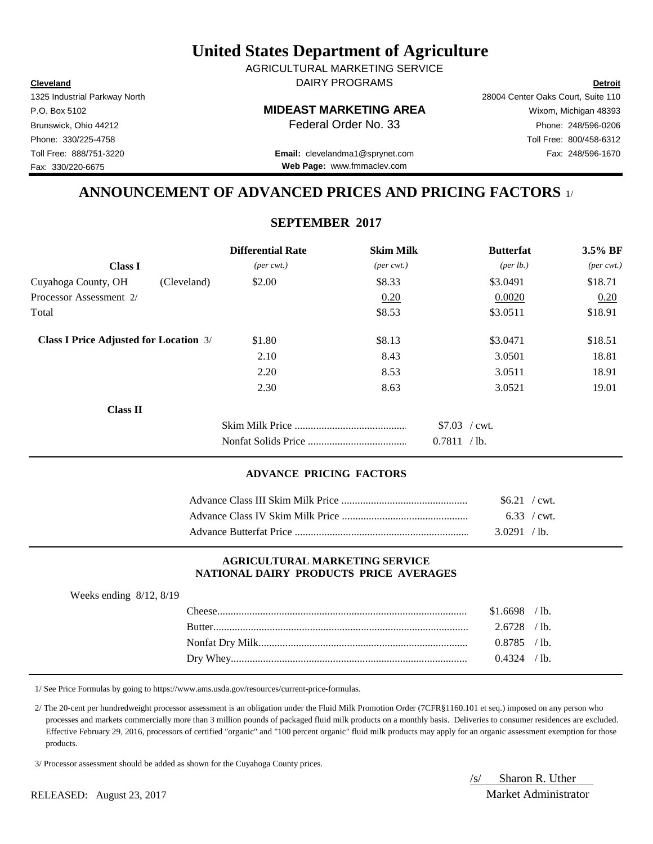**Cleveland Detroit** AGRICULTURAL MARKETING SERVICE DAIRY PROGRAMS

1325 Industrial Parkway North 28004 Center Oaks Court, Suite 110

P.O. Box 5102 **MIDEAST MARKETING AREA** Wixom, Michigan 48393 Brunswick, Ohio 44212 **Phone:** 248/596-0206 **Federal Order No. 33** Phone: 248/596-0206 Phone: 330/225-4758 Toll Free: 800/458-6312 Toll Free: 888/751-3220 Fax: 248/596-1670 **Email:** clevelandma1@sprynet.com

**Web Page:** www.fmmaclev.com

# **ANNOUNCEMENT OF ADVANCED PRICES AND PRICING FACTORS** 1/

## **SEPTEMBER 2017**

|                                               |             | <b>Differential Rate</b>    | <b>Skim Milk</b>            | <b>Butterfat</b>     | 3.5% BF                     |
|-----------------------------------------------|-------------|-----------------------------|-----------------------------|----------------------|-----------------------------|
| <b>Class I</b>                                |             | $(\text{per} \text{ cwt.})$ | $(\text{per} \text{ cwt.})$ | ${\rm (per \, lb.)}$ | $(\text{per} \text{ cwt.})$ |
| Cuyahoga County, OH                           | (Cleveland) | \$2.00                      | \$8.33                      | \$3.0491             | \$18.71                     |
| Processor Assessment 2/                       |             |                             | 0.20                        | 0.0020               | 0.20                        |
| Total                                         |             |                             | \$8.53                      | \$3.0511             | \$18.91                     |
| <b>Class I Price Adjusted for Location 3/</b> |             | \$1.80                      | \$8.13                      | \$3.0471             | \$18.51                     |
|                                               |             | 2.10                        | 8.43                        | 3.0501               | 18.81                       |
|                                               |             | 2.20                        | 8.53                        | 3.0511               | 18.91                       |
|                                               |             | 2.30                        | 8.63                        | 3.0521               | 19.01                       |
| <b>Class II</b>                               |             |                             |                             |                      |                             |
|                                               |             |                             |                             | $$7.03$ / cwt.       |                             |
|                                               |             |                             |                             | 0.7811 / lb.         |                             |

#### **ADVANCE PRICING FACTORS**

| $$6.21$ / cwt. |  |
|----------------|--|
|                |  |
| 3.0291 / lb.   |  |

#### **AGRICULTURAL MARKETING SERVICE NATIONAL DAIRY PRODUCTS PRICE AVERAGES**

| Weeks ending $8/12$ , $8/19$ |                |  |
|------------------------------|----------------|--|
|                              | $$1.6698$ /lb. |  |
|                              | $2.6728$ /lb.  |  |
|                              | $0.8785$ /lb.  |  |
|                              | $0.4324$ /lb   |  |

1/ See Price Formulas by going to https://www.ams.usda.gov/resources/current-price-formulas.

 2/ The 20-cent per hundredweight processor assessment is an obligation under the Fluid Milk Promotion Order (7CFR§1160.101 et seq.) imposed on any person who processes and markets commercially more than 3 million pounds of packaged fluid milk products on a monthly basis. Deliveries to consumer residences are excluded. Effective February 29, 2016, processors of certified "organic" and "100 percent organic" fluid milk products may apply for an organic assessment exemption for those products.

3/ Processor assessment should be added as shown for the Cuyahoga County prices.

/s/ Sharon R. Uther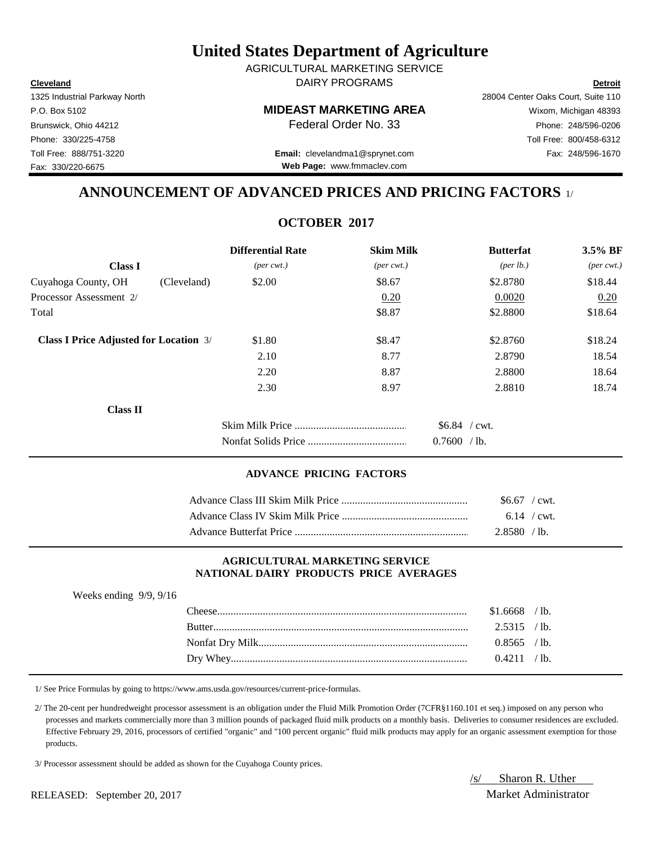**Cleveland Detroit** AGRICULTURAL MARKETING SERVICE DAIRY PROGRAMS

1325 Industrial Parkway North 28004 Center Oaks Court, Suite 110

P.O. Box 5102 **MIDEAST MARKETING AREA** Wixom, Michigan 48393 Brunswick, Ohio 44212 **Phone:** 248/596-0206 **Federal Order No. 33** Phone: 248/596-0206 Phone: 330/225-4758 Toll Free: 800/458-6312 Toll Free: 888/751-3220 Fax: 248/596-1670 **Email:** clevelandma1@sprynet.com

**Web Page:** www.fmmaclev.com

# **ANNOUNCEMENT OF ADVANCED PRICES AND PRICING FACTORS** 1/

## **OCTOBER 2017**

|                                               |             | <b>Differential Rate</b>    | <b>Skim Milk</b>            | <b>Butterfat</b>     | 3.5% BF                     |
|-----------------------------------------------|-------------|-----------------------------|-----------------------------|----------------------|-----------------------------|
| <b>Class I</b>                                |             | $(\text{per} \text{ cwt.})$ | $(\text{per} \text{ cwt.})$ | ${\rm (per \, lb.)}$ | $(\text{per} \text{ cwt.})$ |
| Cuyahoga County, OH                           | (Cleveland) | \$2.00                      | \$8.67                      | \$2.8780             | \$18.44                     |
| Processor Assessment 2/                       |             |                             | 0.20                        | 0.0020               | 0.20                        |
| Total                                         |             |                             | \$8.87                      | \$2.8800             | \$18.64                     |
| <b>Class I Price Adjusted for Location 3/</b> |             | \$1.80                      | \$8.47                      | \$2.8760             | \$18.24                     |
|                                               |             | 2.10                        | 8.77                        | 2.8790               | 18.54                       |
|                                               |             | 2.20                        | 8.87                        | 2.8800               | 18.64                       |
|                                               |             | 2.30                        | 8.97                        | 2.8810               | 18.74                       |
| <b>Class II</b>                               |             |                             |                             |                      |                             |
|                                               |             |                             |                             | $$6.84$ / cwt.       |                             |
|                                               |             |                             |                             | 0.7600 / lb.         |                             |

### **ADVANCE PRICING FACTORS**

| $$6.67$ / cwt. |  |
|----------------|--|
| 6.14 / $cwt$   |  |
| $2.8580$ /lb.  |  |

### **AGRICULTURAL MARKETING SERVICE NATIONAL DAIRY PRODUCTS PRICE AVERAGES**

| Weeks ending $9/9$ , $9/16$ |                |  |
|-----------------------------|----------------|--|
|                             | $$1.6668$ /lb. |  |
|                             | $2.5315$ /lb.  |  |
|                             | $0.8565$ /lb.  |  |
|                             | 0.4211 / lb.   |  |

1/ See Price Formulas by going to https://www.ams.usda.gov/resources/current-price-formulas.

 2/ The 20-cent per hundredweight processor assessment is an obligation under the Fluid Milk Promotion Order (7CFR§1160.101 et seq.) imposed on any person who processes and markets commercially more than 3 million pounds of packaged fluid milk products on a monthly basis. Deliveries to consumer residences are excluded. Effective February 29, 2016, processors of certified "organic" and "100 percent organic" fluid milk products may apply for an organic assessment exemption for those products.

3/ Processor assessment should be added as shown for the Cuyahoga County prices.

/s/ Sharon R. Uther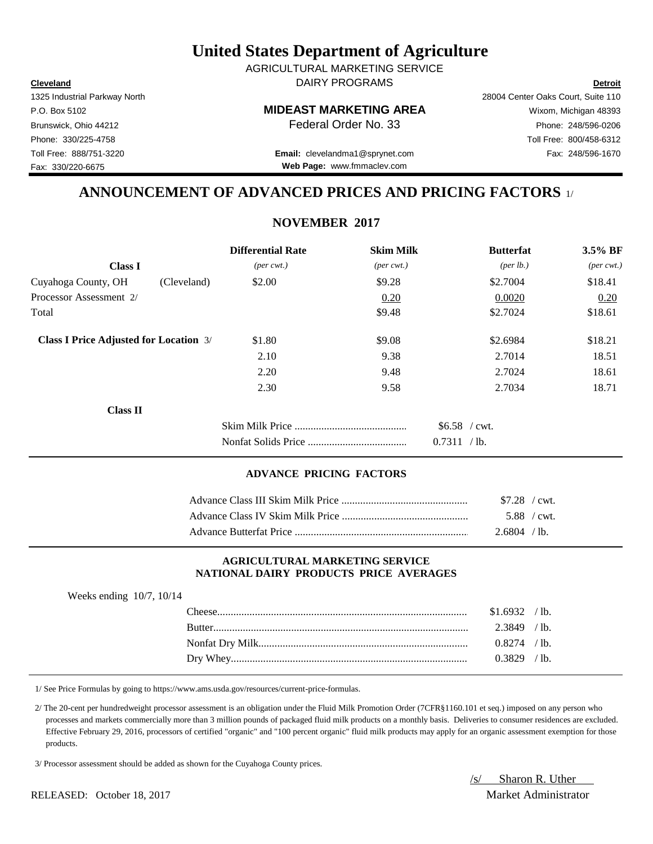**Cleveland Detroit** DAIRY PROGRAMS AGRICULTURAL MARKETING SERVICE

P.O. Box 5102 **MIDEAST MARKETING AREA** Wixom, Michigan 48393

Toll Free: 888/751-3220 Fax: 248/596-1670 **Email:** clevelandma1@sprynet.com **Web Page:** www.fmmaclev.com

# **ANNOUNCEMENT OF ADVANCED PRICES AND PRICING FACTORS** 1/

## **NOVEMBER 2017**

|                                               |             | <b>Differential Rate</b>    | <b>Skim Milk</b>            | <b>Butterfat</b>     | $3.5\%$ BF                  |
|-----------------------------------------------|-------------|-----------------------------|-----------------------------|----------------------|-----------------------------|
| <b>Class I</b>                                |             | $(\text{per} \text{ cwt.})$ | $(\text{per} \text{ cwt.})$ | ${\rm (per \, lb.)}$ | $(\text{per} \text{ cwt.})$ |
| Cuyahoga County, OH                           | (Cleveland) | \$2.00                      | \$9.28                      | \$2.7004             | \$18.41                     |
| Processor Assessment 2/                       |             |                             | 0.20                        | 0.0020               | 0.20                        |
| Total                                         |             |                             | \$9.48                      | \$2.7024             | \$18.61                     |
| <b>Class I Price Adjusted for Location 3/</b> |             | \$1.80                      | \$9.08                      | \$2.6984             | \$18.21                     |
|                                               |             | 2.10                        | 9.38                        | 2.7014               | 18.51                       |
|                                               |             | 2.20                        | 9.48                        | 2.7024               | 18.61                       |
|                                               |             | 2.30                        | 9.58                        | 2.7034               | 18.71                       |
| <b>Class II</b>                               |             |                             |                             |                      |                             |
|                                               |             |                             |                             | $$6.58$ / cwt.       |                             |
|                                               |             |                             |                             | 0.7311 / lb.         |                             |

### **ADVANCE PRICING FACTORS**

| $$7.28$ / cwt. |  |
|----------------|--|
| 5.88 / cwt.    |  |
| 2.6804 / lb.   |  |

#### **AGRICULTURAL MARKETING SERVICE NATIONAL DAIRY PRODUCTS PRICE AVERAGES**

| Weeks ending $10/7$ , $10/14$ |  |  |
|-------------------------------|--|--|
|-------------------------------|--|--|

| 'heese        | .6932  | $^{\prime}$ lb. |
|---------------|--------|-----------------|
| <b>Butter</b> | .3849  | $^{\prime}$ lb. |
|               | ን 8274 | $\prime$ lb.    |
| Drv           | 3829   | $^{\prime}$ lb. |

1/ See Price Formulas by going to https://www.ams.usda.gov/resources/current-price-formulas.

 2/ The 20-cent per hundredweight processor assessment is an obligation under the Fluid Milk Promotion Order (7CFR§1160.101 et seq.) imposed on any person who processes and markets commercially more than 3 million pounds of packaged fluid milk products on a monthly basis. Deliveries to consumer residences are excluded. Effective February 29, 2016, processors of certified "organic" and "100 percent organic" fluid milk products may apply for an organic assessment exemption for those products.

3/ Processor assessment should be added as shown for the Cuyahoga County prices.

/s/ Sharon R. Uther

1325 Industrial Parkway North 28004 Center Oaks Court, Suite 110

Fax: 330/220-6675

Brunswick, Ohio 44212 **Phone:** 248/596-0206 **Federal Order No. 33** Phone: 248/596-0206 Phone: 330/225-4758 Toll Free: 800/458-6312